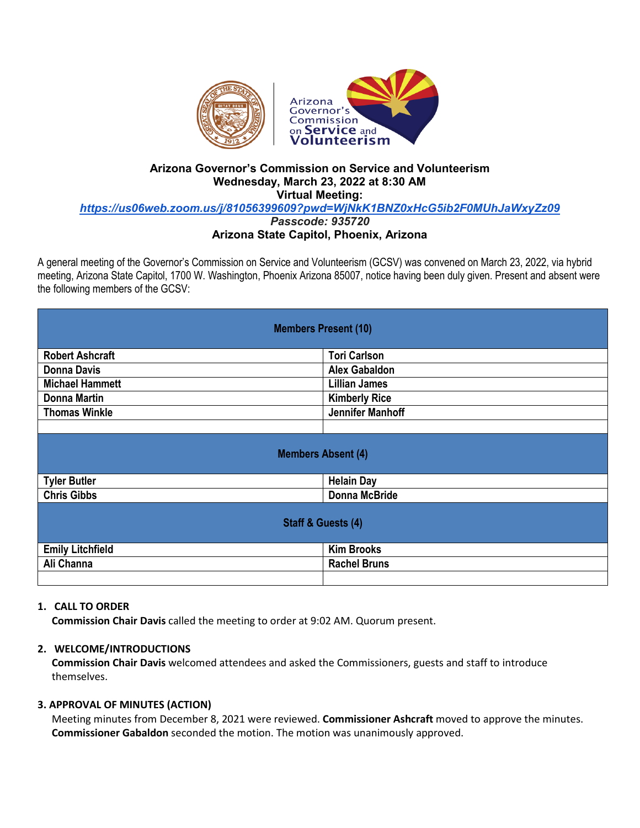

# **Arizona Governor's Commission on Service and Volunteerism Wednesday, March 23, 2022 at 8:30 AM Virtual Meeting:**

*<https://us06web.zoom.us/j/81056399609?pwd=WjNkK1BNZ0xHcG5ib2F0MUhJaWxyZz09>*

*Passcode: 935720*

## **Arizona State Capitol, Phoenix, Arizona**

A general meeting of the Governor's Commission on Service and Volunteerism (GCSV) was convened on March 23, 2022, via hybrid meeting, Arizona State Capitol, 1700 W. Washington, Phoenix Arizona 85007, notice having been duly given. Present and absent were the following members of the GCSV:

| <b>Members Present (10)</b>   |                      |
|-------------------------------|----------------------|
| <b>Robert Ashcraft</b>        | <b>Tori Carlson</b>  |
| <b>Donna Davis</b>            | <b>Alex Gabaldon</b> |
| <b>Michael Hammett</b>        | <b>Lillian James</b> |
| <b>Donna Martin</b>           | <b>Kimberly Rice</b> |
| <b>Thomas Winkle</b>          | Jennifer Manhoff     |
|                               |                      |
| <b>Members Absent (4)</b>     |                      |
| <b>Tyler Butler</b>           | <b>Helain Day</b>    |
| <b>Chris Gibbs</b>            | <b>Donna McBride</b> |
| <b>Staff &amp; Guests (4)</b> |                      |
| <b>Emily Litchfield</b>       | <b>Kim Brooks</b>    |
| Ali Channa                    | <b>Rachel Bruns</b>  |
|                               |                      |

### **1. CALL TO ORDER**

**Commission Chair Davis** called the meeting to order at 9:02 AM. Quorum present.

### **2. WELCOME/INTRODUCTIONS**

**Commission Chair Davis** welcomed attendees and asked the Commissioners, guests and staff to introduce themselves.

### **3. APPROVAL OF MINUTES (ACTION)**

Meeting minutes from December 8, 2021 were reviewed. **Commissioner Ashcraft** moved to approve the minutes. **Commissioner Gabaldon** seconded the motion. The motion was unanimously approved.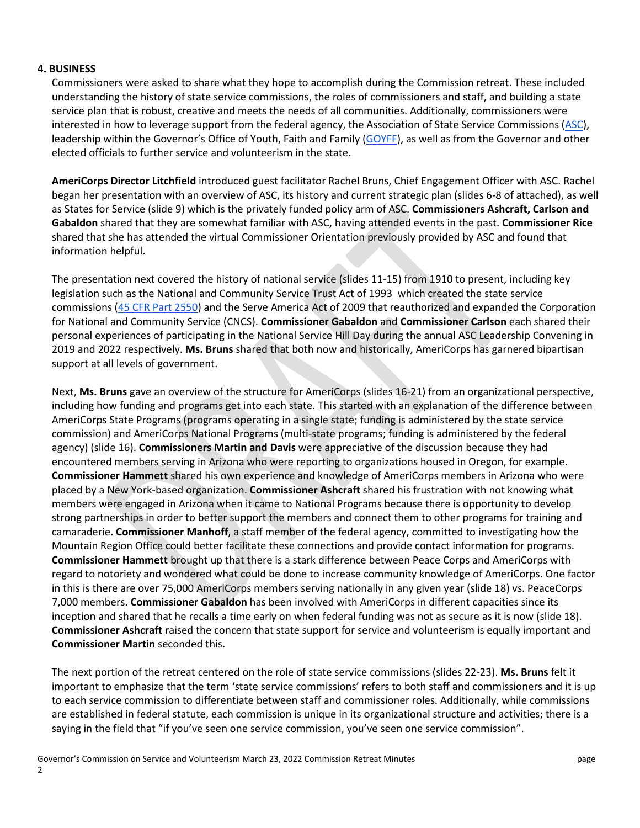### **4. BUSINESS**

Commissioners were asked to share what they hope to accomplish during the Commission retreat. These included understanding the history of state service commissions, the roles of commissioners and staff, and building a state service plan that is robust, creative and meets the needs of all communities. Additionally, commissioners were interested in how to leverage support from the federal agency, the Association of State Service Commissions [\(ASC\)](https://www.statecommissions.org/), leadership within the Governor's Office of Youth, Faith and Family [\(GOYFF\)](https://goyff.az.gov/), as well as from the Governor and other elected officials to further service and volunteerism in the state.

**AmeriCorps Director Litchfield** introduced guest facilitator Rachel Bruns, Chief Engagement Officer with ASC. Rachel began her presentation with an overview of ASC, its history and current strategic plan (slides 6-8 of attached), as well as States for Service (slide 9) which is the privately funded policy arm of ASC. **Commissioners Ashcraft, Carlson and Gabaldon** shared that they are somewhat familiar with ASC, having attended events in the past. **Commissioner Rice** shared that she has attended the virtual Commissioner Orientation previously provided by ASC and found that information helpful.

The presentation next covered the history of national service (slides 11-15) from 1910 to present, including key legislation such as the National and Community Service Trust Act of 1993 which created the state service commissions [\(45 CFR Part 2550\)](https://www.law.cornell.edu/cfr/text/45/part-2550) and the Serve America Act of 2009 that reauthorized and expanded the Corporation for National and Community Service (CNCS). **Commissioner Gabaldon** and **Commissioner Carlson** each shared their personal experiences of participating in the National Service Hill Day during the annual ASC Leadership Convening in 2019 and 2022 respectively. **Ms. Bruns** shared that both now and historically, AmeriCorps has garnered bipartisan support at all levels of government.

Next, **Ms. Bruns** gave an overview of the structure for AmeriCorps (slides 16-21) from an organizational perspective, including how funding and programs get into each state. This started with an explanation of the difference between AmeriCorps State Programs (programs operating in a single state; funding is administered by the state service commission) and AmeriCorps National Programs (multi-state programs; funding is administered by the federal agency) (slide 16). **Commissioners Martin and Davis** were appreciative of the discussion because they had encountered members serving in Arizona who were reporting to organizations housed in Oregon, for example. **Commissioner Hammett** shared his own experience and knowledge of AmeriCorps members in Arizona who were placed by a New York-based organization. **Commissioner Ashcraft** shared his frustration with not knowing what members were engaged in Arizona when it came to National Programs because there is opportunity to develop strong partnerships in order to better support the members and connect them to other programs for training and camaraderie. **Commissioner Manhoff**, a staff member of the federal agency, committed to investigating how the Mountain Region Office could better facilitate these connections and provide contact information for programs. **Commissioner Hammett** brought up that there is a stark difference between Peace Corps and AmeriCorps with regard to notoriety and wondered what could be done to increase community knowledge of AmeriCorps. One factor in this is there are over 75,000 AmeriCorps members serving nationally in any given year (slide 18) vs. PeaceCorps 7,000 members. **Commissioner Gabaldon** has been involved with AmeriCorps in different capacities since its inception and shared that he recalls a time early on when federal funding was not as secure as it is now (slide 18). **Commissioner Ashcraft** raised the concern that state support for service and volunteerism is equally important and **Commissioner Martin** seconded this.

The next portion of the retreat centered on the role of state service commissions (slides 22-23). **Ms. Bruns** felt it important to emphasize that the term 'state service commissions' refers to both staff and commissioners and it is up to each service commission to differentiate between staff and commissioner roles. Additionally, while commissions are established in federal statute, each commission is unique in its organizational structure and activities; there is a saying in the field that "if you've seen one service commission, you've seen one service commission".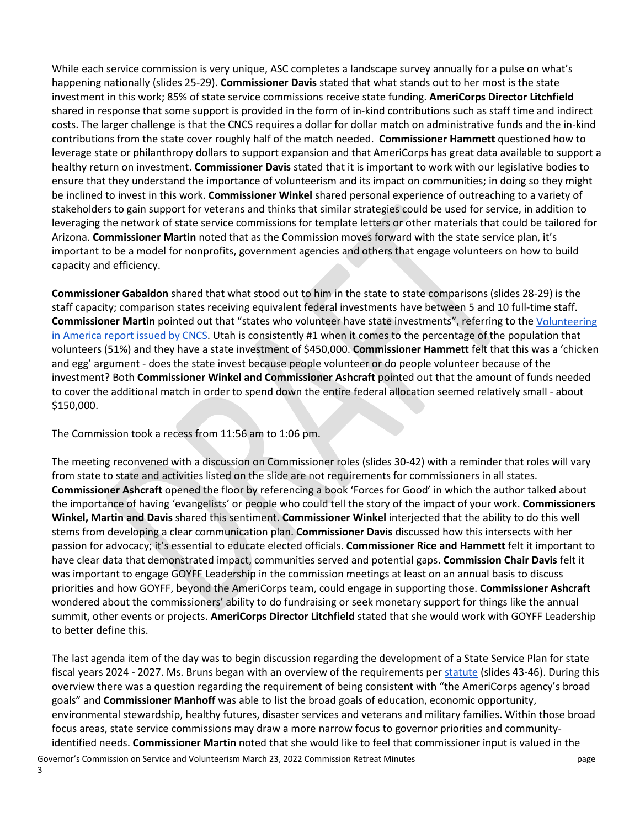While each service commission is very unique, ASC completes a landscape survey annually for a pulse on what's happening nationally (slides 25-29). **Commissioner Davis** stated that what stands out to her most is the state investment in this work; 85% of state service commissions receive state funding. **AmeriCorps Director Litchfield** shared in response that some support is provided in the form of in-kind contributions such as staff time and indirect costs. The larger challenge is that the CNCS requires a dollar for dollar match on administrative funds and the in-kind contributions from the state cover roughly half of the match needed. **Commissioner Hammett** questioned how to leverage state or philanthropy dollars to support expansion and that AmeriCorps has great data available to support a healthy return on investment. **Commissioner Davis** stated that it is important to work with our legislative bodies to ensure that they understand the importance of volunteerism and its impact on communities; in doing so they might be inclined to invest in this work. **Commissioner Winkel** shared personal experience of outreaching to a variety of stakeholders to gain support for veterans and thinks that similar strategies could be used for service, in addition to leveraging the network of state service commissions for template letters or other materials that could be tailored for Arizona. **Commissioner Martin** noted that as the Commission moves forward with the state service plan, it's important to be a model for nonprofits, government agencies and others that engage volunteers on how to build capacity and efficiency.

**Commissioner Gabaldon** shared that what stood out to him in the state to state comparisons (slides 28-29) is the staff capacity; comparison states receiving equivalent federal investments have between 5 and 10 full-time staff. **Commissioner Martin** pointed out that "states who volunteer have state investments", referring to the [Volunteering](https://americorps.gov/newsroom/news/via)  [in America report issued by CNCS.](https://americorps.gov/newsroom/news/via) Utah is consistently #1 when it comes to the percentage of the population that volunteers (51%) and they have a state investment of \$450,000. **Commissioner Hammett** felt that this was a 'chicken and egg' argument - does the state invest because people volunteer or do people volunteer because of the investment? Both **Commissioner Winkel and Commissioner Ashcraft** pointed out that the amount of funds needed to cover the additional match in order to spend down the entire federal allocation seemed relatively small - about \$150,000.

The Commission took a recess from 11:56 am to 1:06 pm.

The meeting reconvened with a discussion on Commissioner roles (slides 30-42) with a reminder that roles will vary from state to state and activities listed on the slide are not requirements for commissioners in all states. **Commissioner Ashcraft** opened the floor by referencing a book 'Forces for Good' in which the author talked about the importance of having 'evangelists' or people who could tell the story of the impact of your work. **Commissioners Winkel, Martin and Davis** shared this sentiment. **Commissioner Winkel** interjected that the ability to do this well stems from developing a clear communication plan. **Commissioner Davis** discussed how this intersects with her passion for advocacy; it's essential to educate elected officials. **Commissioner Rice and Hammett** felt it important to have clear data that demonstrated impact, communities served and potential gaps. **Commission Chair Davis** felt it was important to engage GOYFF Leadership in the commission meetings at least on an annual basis to discuss priorities and how GOYFF, beyond the AmeriCorps team, could engage in supporting those. **Commissioner Ashcraft** wondered about the commissioners' ability to do fundraising or seek monetary support for things like the annual summit, other events or projects. **AmeriCorps Director Litchfield** stated that she would work with GOYFF Leadership to better define this.

The last agenda item of the day was to begin discussion regarding the development of a State Service Plan for state fiscal years 2024 - 2027. Ms. Bruns began with an overview of the requirements per [statute](https://www.law.cornell.edu/cfr/text/45/2550.80) (slides 43-46). During this overview there was a question regarding the requirement of being consistent with "the AmeriCorps agency's broad goals" and **Commissioner Manhoff** was able to list the broad goals of education, economic opportunity, environmental stewardship, healthy futures, disaster services and veterans and military families. Within those broad focus areas, state service commissions may draw a more narrow focus to governor priorities and communityidentified needs. **Commissioner Martin** noted that she would like to feel that commissioner input is valued in the